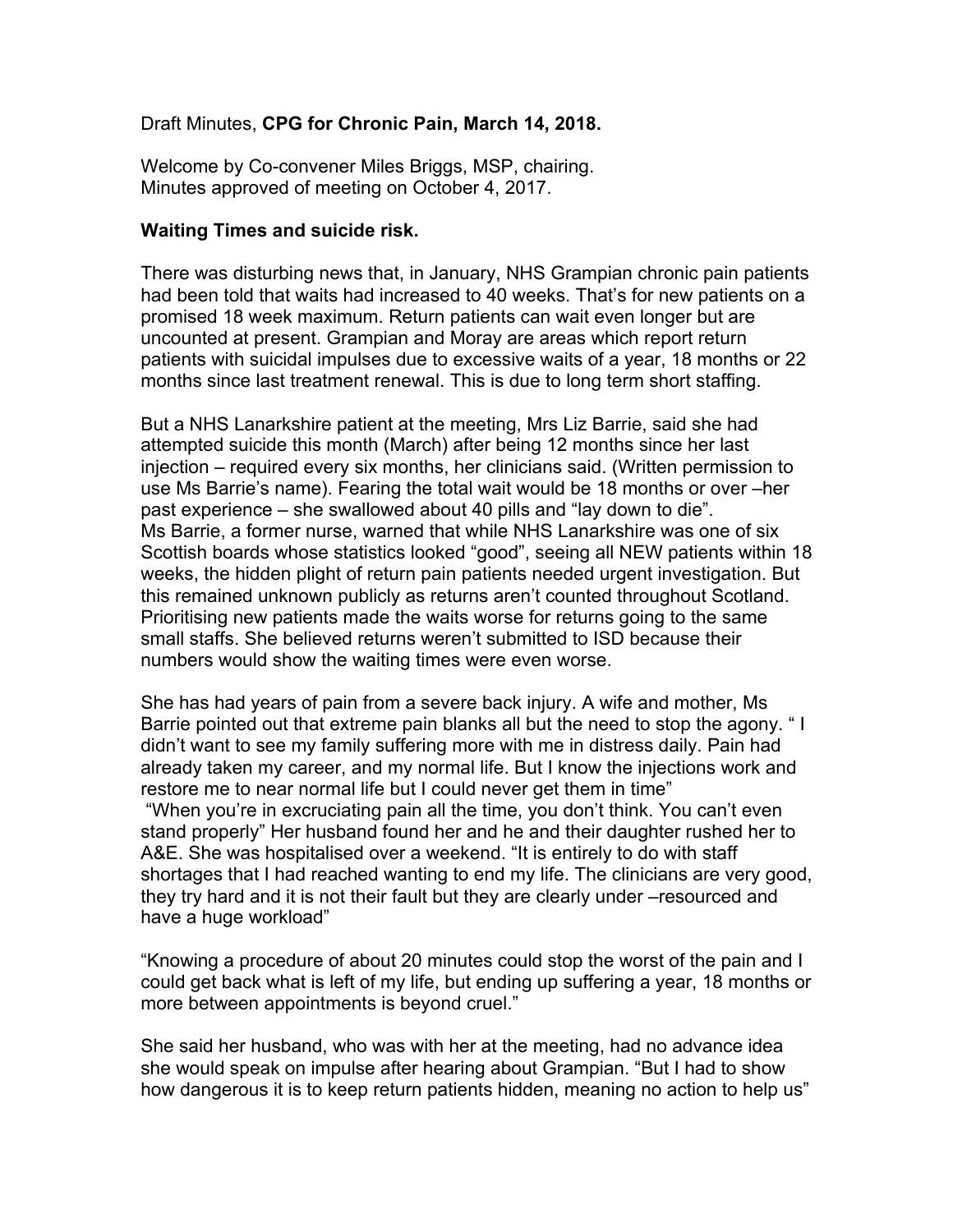## Draft Minutes, **CPG for Chronic Pain, March 14, 2018.**

Welcome by Co-convener Miles Briggs, MSP, chairing. Minutes approved of meeting on October 4, 2017.

#### **Waiting Times and suicide risk.**

There was disturbing news that, in January, NHS Grampian chronic pain patients had been told that waits had increased to 40 weeks. That's for new patients on a promised 18 week maximum. Return patients can wait even longer but are uncounted at present. Grampian and Moray are areas which report return patients with suicidal impulses due to excessive waits of a year, 18 months or 22 months since last treatment renewal. This is due to long term short staffing.

But a NHS Lanarkshire patient at the meeting, Mrs Liz Barrie, said she had attempted suicide this month (March) after being 12 months since her last injection – required every six months, her clinicians said. (Written permission to use Ms Barrie's name). Fearing the total wait would be 18 months or over –her past experience – she swallowed about 40 pills and "lay down to die". Ms Barrie, a former nurse, warned that while NHS Lanarkshire was one of six Scottish boards whose statistics looked "good", seeing all NEW patients within 18 weeks, the hidden plight of return pain patients needed urgent investigation. But this remained unknown publicly as returns aren't counted throughout Scotland. Prioritising new patients made the waits worse for returns going to the same small staffs. She believed returns weren't submitted to ISD because their numbers would show the waiting times were even worse.

She has had years of pain from a severe back injury. A wife and mother, Ms Barrie pointed out that extreme pain blanks all but the need to stop the agony. " I didn't want to see my family suffering more with me in distress daily. Pain had already taken my career, and my normal life. But I know the injections work and restore me to near normal life but I could never get them in time"

"When you're in excruciating pain all the time, you don't think. You can't even stand properly" Her husband found her and he and their daughter rushed her to A&E. She was hospitalised over a weekend. "It is entirely to do with staff shortages that I had reached wanting to end my life. The clinicians are very good, they try hard and it is not their fault but they are clearly under –resourced and have a huge workload"

"Knowing a procedure of about 20 minutes could stop the worst of the pain and I could get back what is left of my life, but ending up suffering a year, 18 months or more between appointments is beyond cruel."

She said her husband, who was with her at the meeting, had no advance idea she would speak on impulse after hearing about Grampian. "But I had to show how dangerous it is to keep return patients hidden, meaning no action to help us"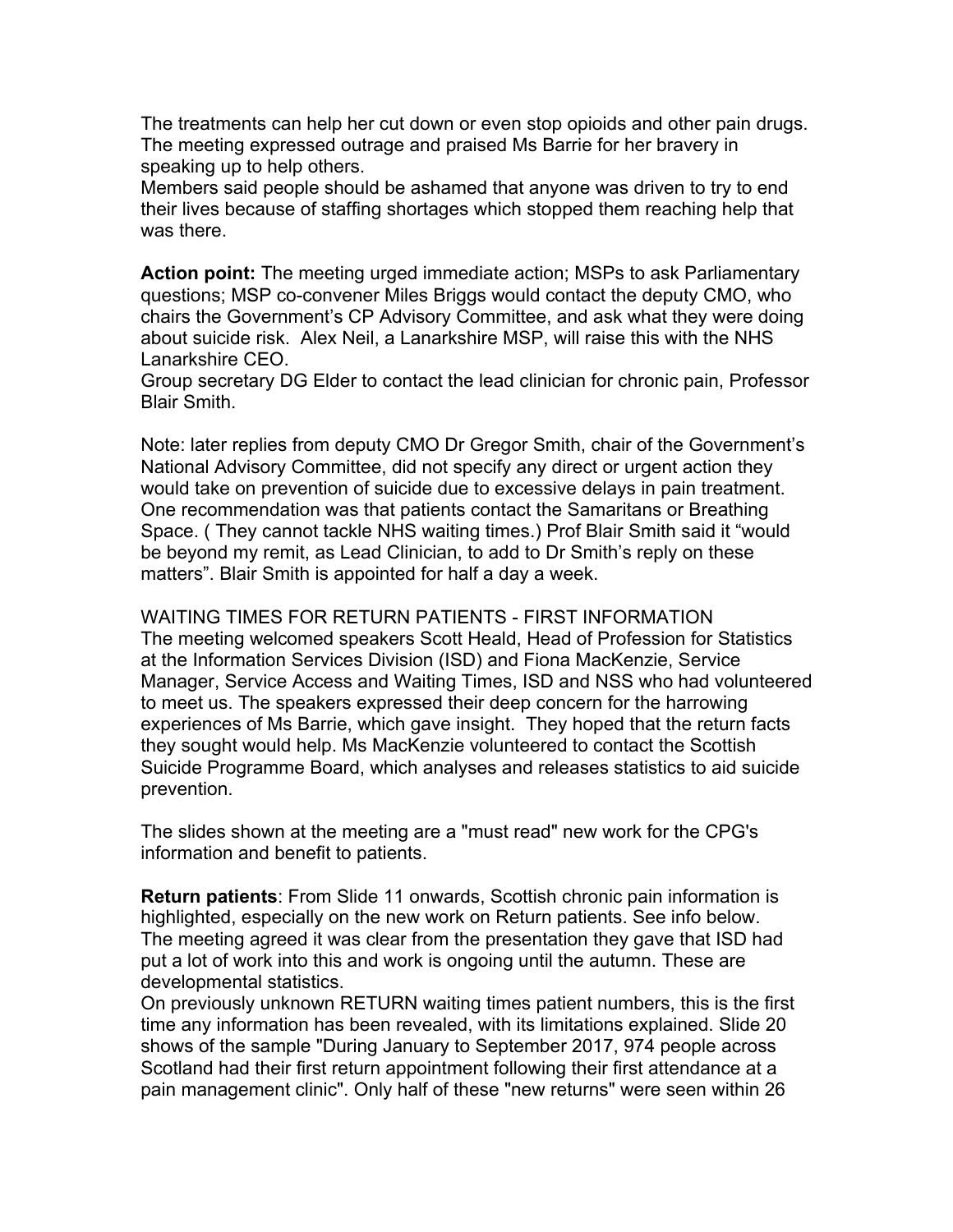The treatments can help her cut down or even stop opioids and other pain drugs. The meeting expressed outrage and praised Ms Barrie for her bravery in speaking up to help others.

Members said people should be ashamed that anyone was driven to try to end their lives because of staffing shortages which stopped them reaching help that was there.

**Action point:** The meeting urged immediate action; MSPs to ask Parliamentary questions; MSP co-convener Miles Briggs would contact the deputy CMO, who chairs the Government's CP Advisory Committee, and ask what they were doing about suicide risk. Alex Neil, a Lanarkshire MSP, will raise this with the NHS Lanarkshire CEO.

Group secretary DG Elder to contact the lead clinician for chronic pain, Professor Blair Smith.

Note: later replies from deputy CMO Dr Gregor Smith, chair of the Government's National Advisory Committee, did not specify any direct or urgent action they would take on prevention of suicide due to excessive delays in pain treatment. One recommendation was that patients contact the Samaritans or Breathing Space. ( They cannot tackle NHS waiting times.) Prof Blair Smith said it "would be beyond my remit, as Lead Clinician, to add to Dr Smith's reply on these matters". Blair Smith is appointed for half a day a week.

WAITING TIMES FOR RETURN PATIENTS - FIRST INFORMATION The meeting welcomed speakers Scott Heald, Head of Profession for Statistics at the Information Services Division (ISD) and Fiona MacKenzie, Service Manager, Service Access and Waiting Times, ISD and NSS who had volunteered to meet us. The speakers expressed their deep concern for the harrowing experiences of Ms Barrie, which gave insight. They hoped that the return facts they sought would help. Ms MacKenzie volunteered to contact the Scottish Suicide Programme Board, which analyses and releases statistics to aid suicide prevention.

The slides shown at the meeting are a "must read" new work for the CPG's information and benefit to patients.

**Return patients**: From Slide 11 onwards, Scottish chronic pain information is highlighted, especially on the new work on Return patients. See info below. The meeting agreed it was clear from the presentation they gave that ISD had put a lot of work into this and work is ongoing until the autumn. These are developmental statistics.

On previously unknown RETURN waiting times patient numbers, this is the first time any information has been revealed, with its limitations explained. Slide 20 shows of the sample "During January to September 2017, 974 people across Scotland had their first return appointment following their first attendance at a pain management clinic". Only half of these "new returns" were seen within 26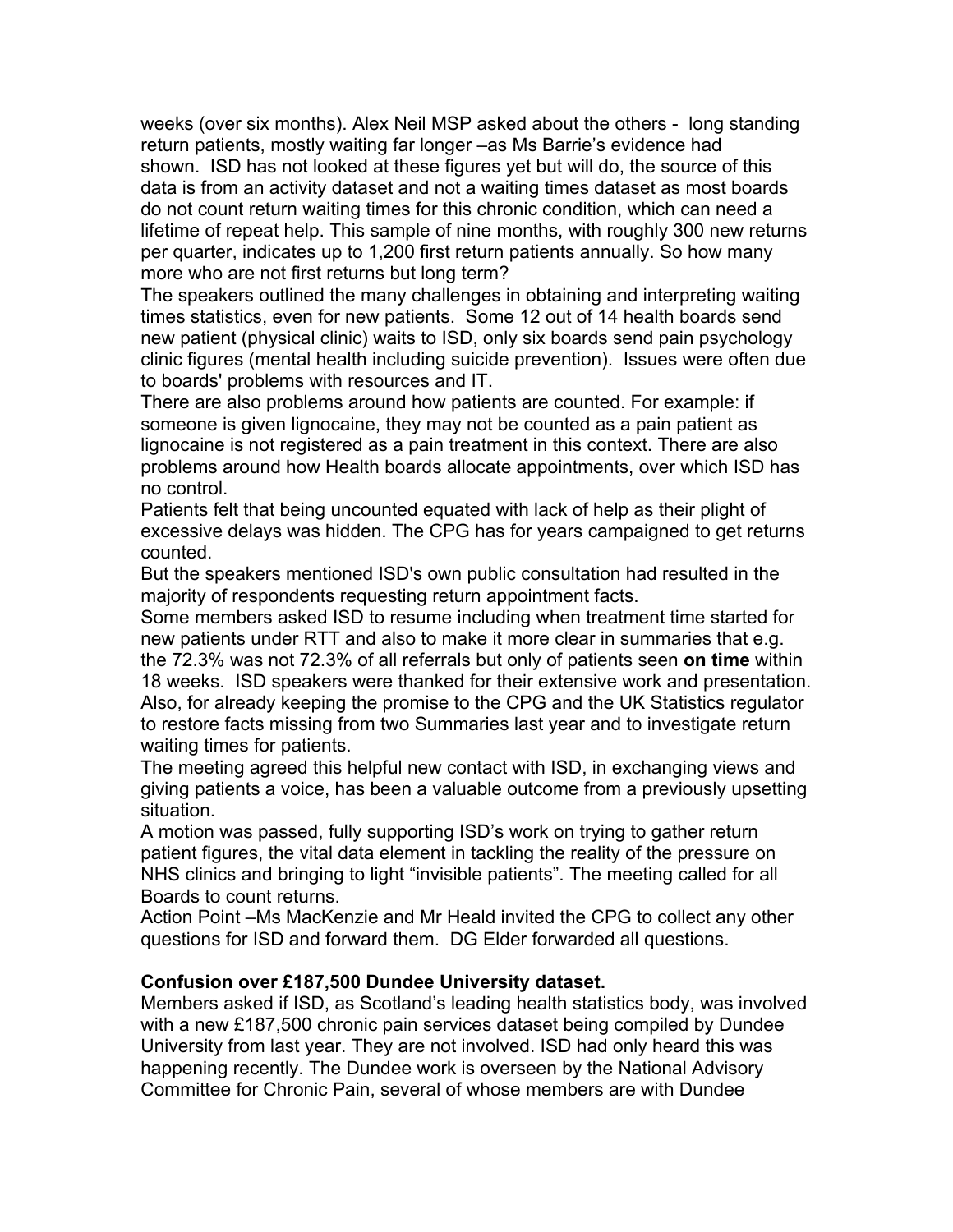weeks (over six months). Alex Neil MSP asked about the others - long standing return patients, mostly waiting far longer –as Ms Barrie's evidence had shown. ISD has not looked at these figures yet but will do, the source of this data is from an activity dataset and not a waiting times dataset as most boards do not count return waiting times for this chronic condition, which can need a lifetime of repeat help. This sample of nine months, with roughly 300 new returns per quarter, indicates up to 1,200 first return patients annually. So how many more who are not first returns but long term?

The speakers outlined the many challenges in obtaining and interpreting waiting times statistics, even for new patients. Some 12 out of 14 health boards send new patient (physical clinic) waits to ISD, only six boards send pain psychology clinic figures (mental health including suicide prevention). Issues were often due to boards' problems with resources and IT.

There are also problems around how patients are counted. For example: if someone is given lignocaine, they may not be counted as a pain patient as lignocaine is not registered as a pain treatment in this context. There are also problems around how Health boards allocate appointments, over which ISD has no control.

Patients felt that being uncounted equated with lack of help as their plight of excessive delays was hidden. The CPG has for years campaigned to get returns counted.

But the speakers mentioned ISD's own public consultation had resulted in the majority of respondents requesting return appointment facts.

Some members asked ISD to resume including when treatment time started for new patients under RTT and also to make it more clear in summaries that e.g. the 72.3% was not 72.3% of all referrals but only of patients seen **on time** within 18 weeks. ISD speakers were thanked for their extensive work and presentation. Also, for already keeping the promise to the CPG and the UK Statistics regulator to restore facts missing from two Summaries last year and to investigate return waiting times for patients.

The meeting agreed this helpful new contact with ISD, in exchanging views and giving patients a voice, has been a valuable outcome from a previously upsetting situation.

A motion was passed, fully supporting ISD's work on trying to gather return patient figures, the vital data element in tackling the reality of the pressure on NHS clinics and bringing to light "invisible patients". The meeting called for all Boards to count returns.

Action Point –Ms MacKenzie and Mr Heald invited the CPG to collect any other questions for ISD and forward them. DG Elder forwarded all questions.

## **Confusion over £187,500 Dundee University dataset.**

Members asked if ISD, as Scotland's leading health statistics body, was involved with a new £187,500 chronic pain services dataset being compiled by Dundee University from last year. They are not involved. ISD had only heard this was happening recently. The Dundee work is overseen by the National Advisory Committee for Chronic Pain, several of whose members are with Dundee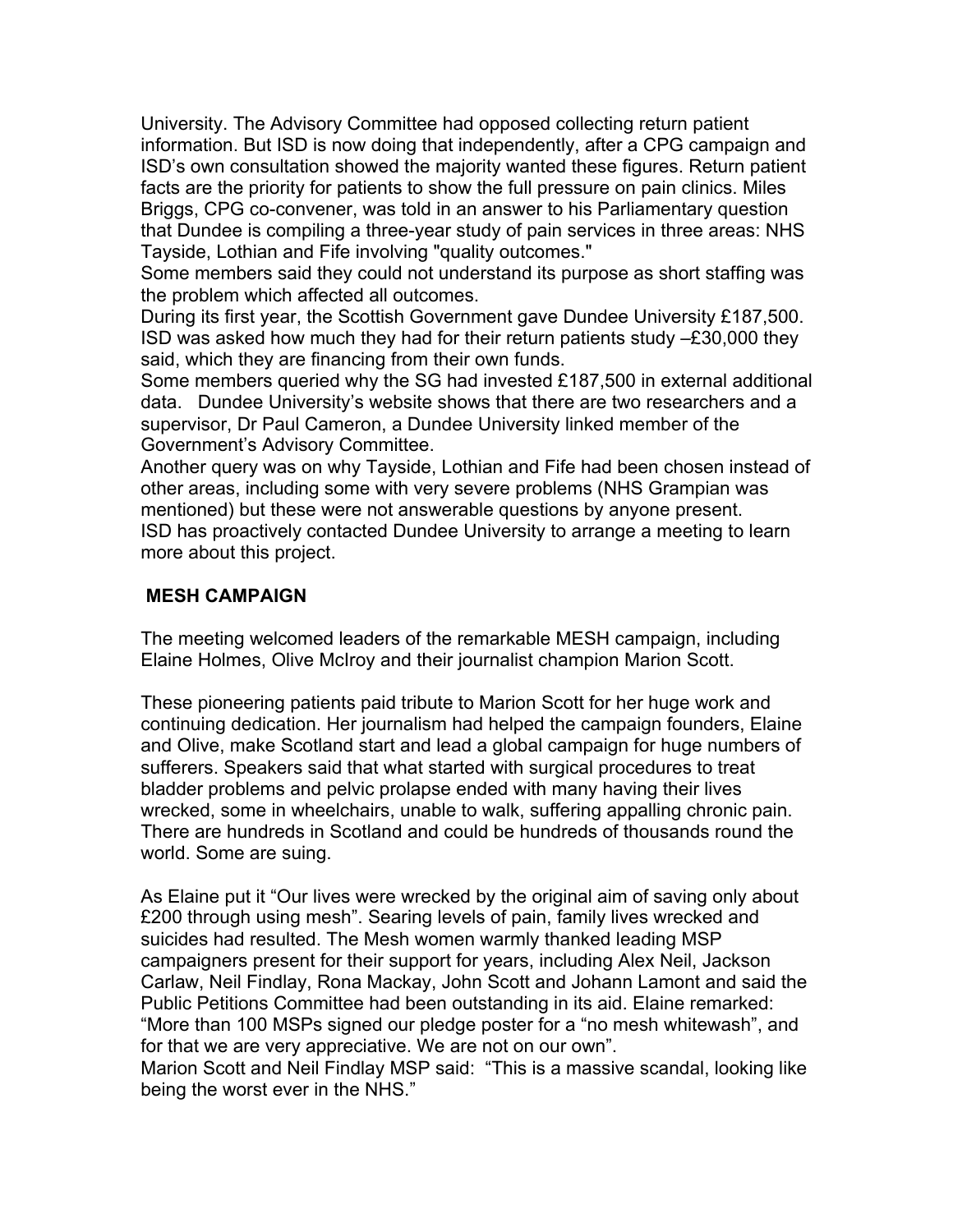University. The Advisory Committee had opposed collecting return patient information. But ISD is now doing that independently, after a CPG campaign and ISD's own consultation showed the majority wanted these figures. Return patient facts are the priority for patients to show the full pressure on pain clinics. Miles Briggs, CPG co-convener, was told in an answer to his Parliamentary question that Dundee is compiling a three-year study of pain services in three areas: NHS Tayside, Lothian and Fife involving "quality outcomes."

Some members said they could not understand its purpose as short staffing was the problem which affected all outcomes.

During its first year, the Scottish Government gave Dundee University £187,500. ISD was asked how much they had for their return patients study –£30,000 they said, which they are financing from their own funds.

Some members queried why the SG had invested £187,500 in external additional data. Dundee University's website shows that there are two researchers and a supervisor, Dr Paul Cameron, a Dundee University linked member of the Government's Advisory Committee.

Another query was on why Tayside, Lothian and Fife had been chosen instead of other areas, including some with very severe problems (NHS Grampian was mentioned) but these were not answerable questions by anyone present. ISD has proactively contacted Dundee University to arrange a meeting to learn more about this project.

## **MESH CAMPAIGN**

The meeting welcomed leaders of the remarkable MESH campaign, including Elaine Holmes, Olive McIroy and their journalist champion Marion Scott.

These pioneering patients paid tribute to Marion Scott for her huge work and continuing dedication. Her journalism had helped the campaign founders, Elaine and Olive, make Scotland start and lead a global campaign for huge numbers of sufferers. Speakers said that what started with surgical procedures to treat bladder problems and pelvic prolapse ended with many having their lives wrecked, some in wheelchairs, unable to walk, suffering appalling chronic pain. There are hundreds in Scotland and could be hundreds of thousands round the world. Some are suing.

As Elaine put it "Our lives were wrecked by the original aim of saving only about £200 through using mesh". Searing levels of pain, family lives wrecked and suicides had resulted. The Mesh women warmly thanked leading MSP campaigners present for their support for years, including Alex Neil, Jackson Carlaw, Neil Findlay, Rona Mackay, John Scott and Johann Lamont and said the Public Petitions Committee had been outstanding in its aid. Elaine remarked: "More than 100 MSPs signed our pledge poster for a "no mesh whitewash", and for that we are very appreciative. We are not on our own".

Marion Scott and Neil Findlay MSP said: "This is a massive scandal, looking like being the worst ever in the NHS."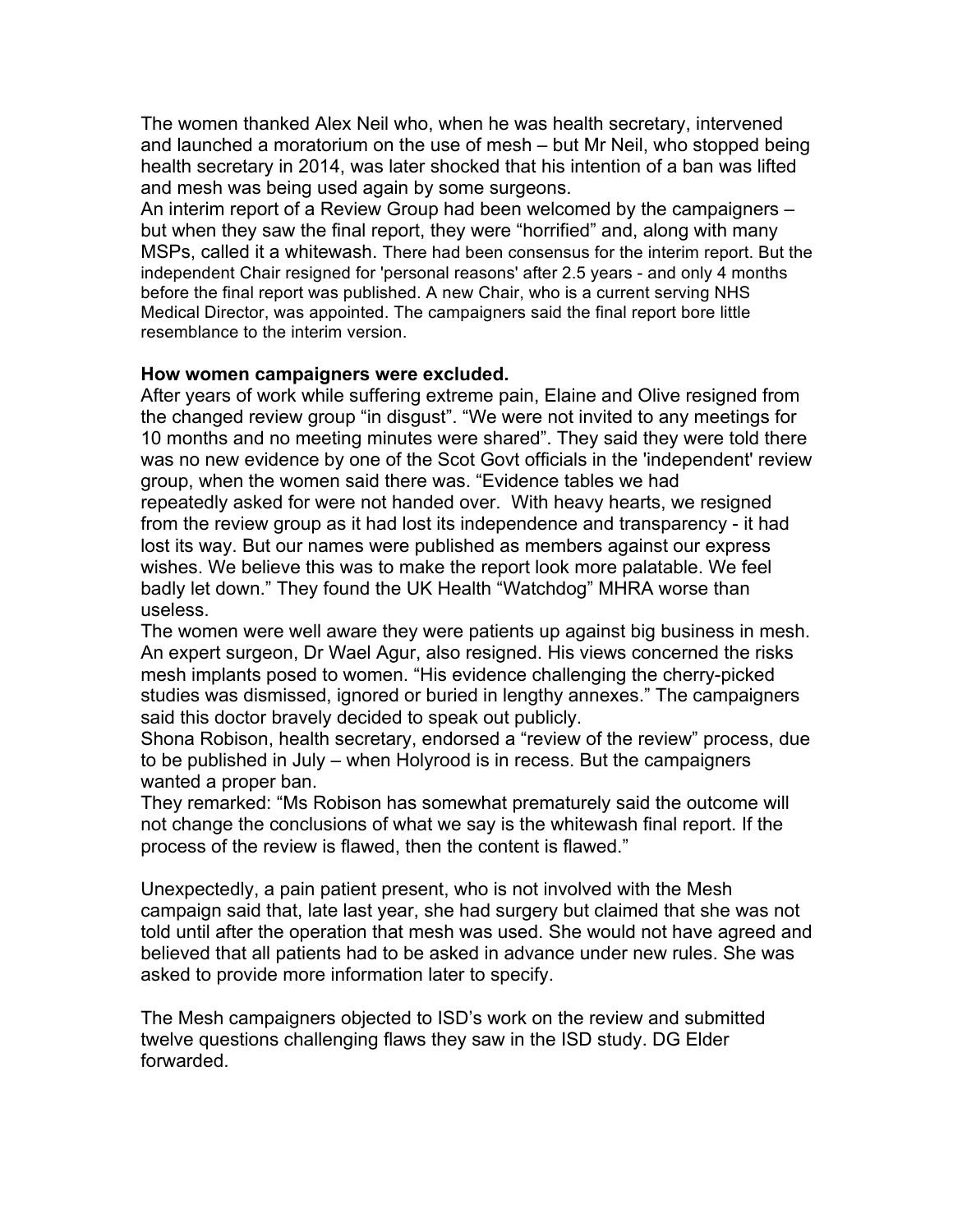The women thanked Alex Neil who, when he was health secretary, intervened and launched a moratorium on the use of mesh – but Mr Neil, who stopped being health secretary in 2014, was later shocked that his intention of a ban was lifted and mesh was being used again by some surgeons.

An interim report of a Review Group had been welcomed by the campaigners – but when they saw the final report, they were "horrified" and, along with many MSPs, called it a whitewash. There had been consensus for the interim report. But the independent Chair resigned for 'personal reasons' after 2.5 years - and only 4 months before the final report was published. A new Chair, who is a current serving NHS Medical Director, was appointed. The campaigners said the final report bore little resemblance to the interim version.

### **How women campaigners were excluded.**

After years of work while suffering extreme pain, Elaine and Olive resigned from the changed review group "in disgust". "We were not invited to any meetings for 10 months and no meeting minutes were shared". They said they were told there was no new evidence by one of the Scot Govt officials in the 'independent' review group, when the women said there was. "Evidence tables we had repeatedly asked for were not handed over. With heavy hearts, we resigned from the review group as it had lost its independence and transparency - it had lost its way. But our names were published as members against our express wishes. We believe this was to make the report look more palatable. We feel badly let down." They found the UK Health "Watchdog" MHRA worse than useless.

The women were well aware they were patients up against big business in mesh. An expert surgeon, Dr Wael Agur, also resigned. His views concerned the risks mesh implants posed to women. "His evidence challenging the cherry-picked studies was dismissed, ignored or buried in lengthy annexes." The campaigners said this doctor bravely decided to speak out publicly.

Shona Robison, health secretary, endorsed a "review of the review" process, due to be published in July – when Holyrood is in recess. But the campaigners wanted a proper ban.

They remarked: "Ms Robison has somewhat prematurely said the outcome will not change the conclusions of what we say is the whitewash final report. If the process of the review is flawed, then the content is flawed."

Unexpectedly, a pain patient present, who is not involved with the Mesh campaign said that, late last year, she had surgery but claimed that she was not told until after the operation that mesh was used. She would not have agreed and believed that all patients had to be asked in advance under new rules. She was asked to provide more information later to specify.

The Mesh campaigners objected to ISD's work on the review and submitted twelve questions challenging flaws they saw in the ISD study. DG Elder forwarded.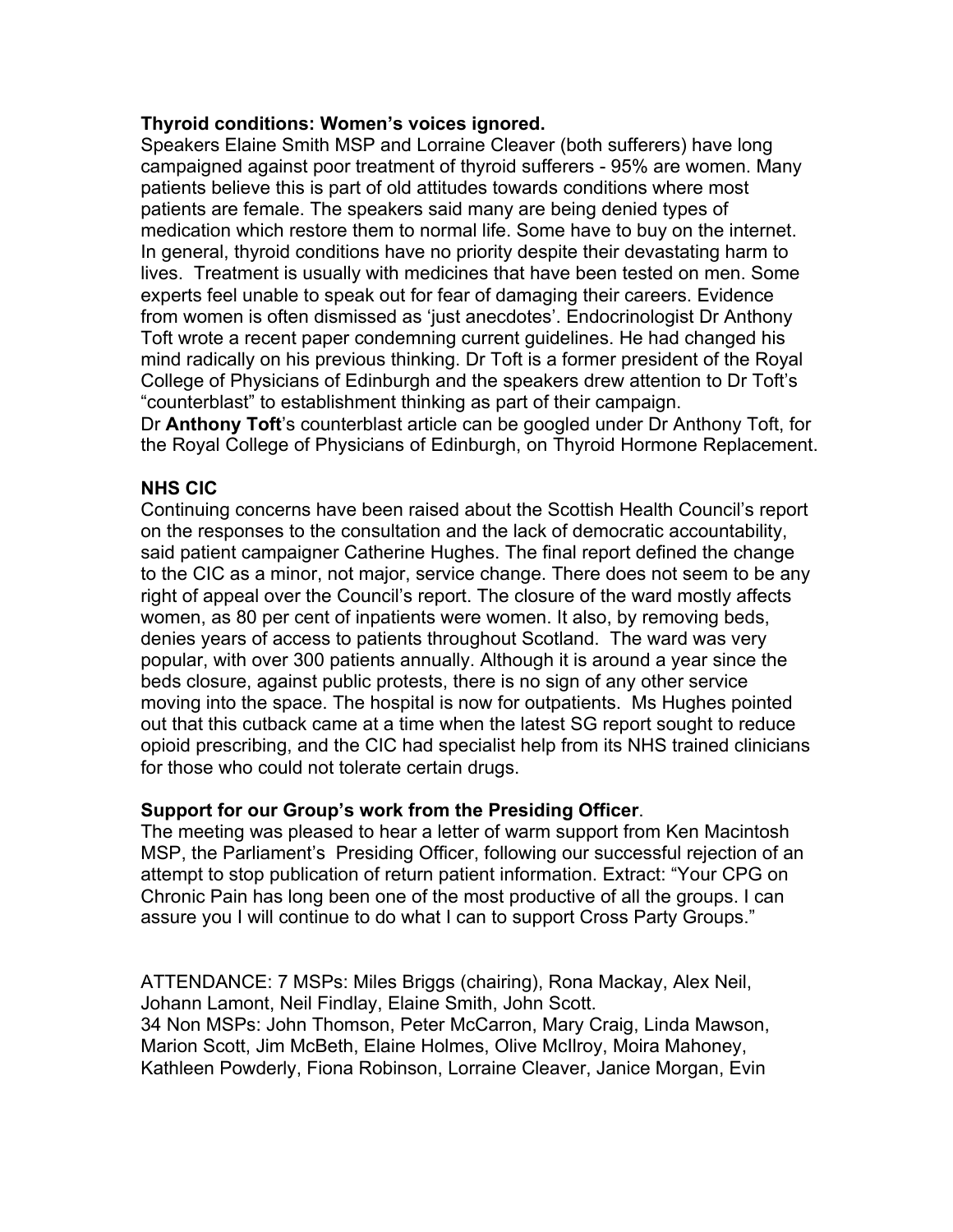## **Thyroid conditions: Women's voices ignored.**

Speakers Elaine Smith MSP and Lorraine Cleaver (both sufferers) have long campaigned against poor treatment of thyroid sufferers - 95% are women. Many patients believe this is part of old attitudes towards conditions where most patients are female. The speakers said many are being denied types of medication which restore them to normal life. Some have to buy on the internet. In general, thyroid conditions have no priority despite their devastating harm to lives. Treatment is usually with medicines that have been tested on men. Some experts feel unable to speak out for fear of damaging their careers. Evidence from women is often dismissed as 'just anecdotes'. Endocrinologist Dr Anthony Toft wrote a recent paper condemning current guidelines. He had changed his mind radically on his previous thinking. Dr Toft is a former president of the Royal College of Physicians of Edinburgh and the speakers drew attention to Dr Toft's "counterblast" to establishment thinking as part of their campaign.

Dr **Anthony Toft**'s counterblast article can be googled under Dr Anthony Toft, for the Royal College of Physicians of Edinburgh, on Thyroid Hormone Replacement.

# **NHS CIC**

Continuing concerns have been raised about the Scottish Health Council's report on the responses to the consultation and the lack of democratic accountability, said patient campaigner Catherine Hughes. The final report defined the change to the CIC as a minor, not major, service change. There does not seem to be any right of appeal over the Council's report. The closure of the ward mostly affects women, as 80 per cent of inpatients were women. It also, by removing beds, denies years of access to patients throughout Scotland. The ward was very popular, with over 300 patients annually. Although it is around a year since the beds closure, against public protests, there is no sign of any other service moving into the space. The hospital is now for outpatients. Ms Hughes pointed out that this cutback came at a time when the latest SG report sought to reduce opioid prescribing, and the CIC had specialist help from its NHS trained clinicians for those who could not tolerate certain drugs.

## **Support for our Group's work from the Presiding Officer**.

The meeting was pleased to hear a letter of warm support from Ken Macintosh MSP, the Parliament's Presiding Officer, following our successful rejection of an attempt to stop publication of return patient information. Extract: "Your CPG on Chronic Pain has long been one of the most productive of all the groups. I can assure you I will continue to do what I can to support Cross Party Groups."

ATTENDANCE: 7 MSPs: Miles Briggs (chairing), Rona Mackay, Alex Neil, Johann Lamont, Neil Findlay, Elaine Smith, John Scott. 34 Non MSPs: John Thomson, Peter McCarron, Mary Craig, Linda Mawson, Marion Scott, Jim McBeth, Elaine Holmes, Olive McIlroy, Moira Mahoney, Kathleen Powderly, Fiona Robinson, Lorraine Cleaver, Janice Morgan, Evin